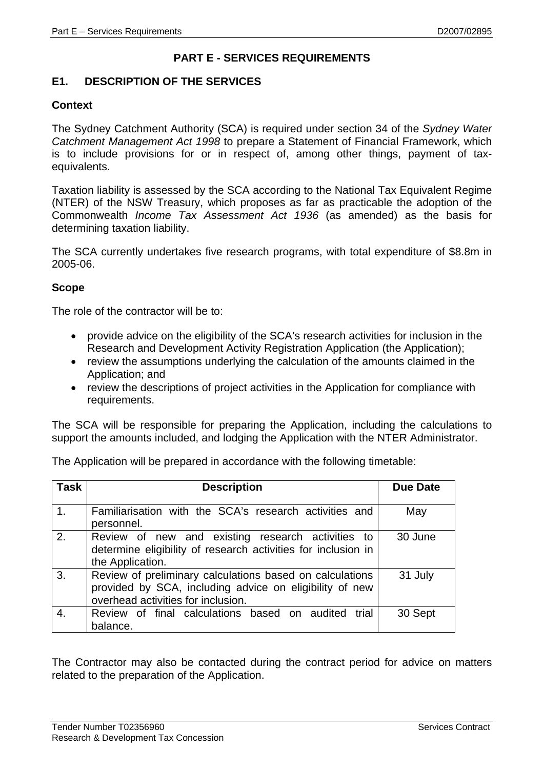# **PART E - SERVICES REQUIREMENTS**

## **E1. DESCRIPTION OF THE SERVICES**

## **Context**

The Sydney Catchment Authority (SCA) is required under section 34 of the *Sydney Water Catchment Management Act 1998* to prepare a Statement of Financial Framework, which is to include provisions for or in respect of, among other things, payment of taxequivalents.

Taxation liability is assessed by the SCA according to the National Tax Equivalent Regime (NTER) of the NSW Treasury, which proposes as far as practicable the adoption of the Commonwealth *Income Tax Assessment Act 1936* (as amended) as the basis for determining taxation liability.

The SCA currently undertakes five research programs, with total expenditure of \$8.8m in 2005-06.

### **Scope**

The role of the contractor will be to:

- provide advice on the eligibility of the SCA's research activities for inclusion in the Research and Development Activity Registration Application (the Application);
- review the assumptions underlying the calculation of the amounts claimed in the Application; and
- review the descriptions of project activities in the Application for compliance with requirements.

The SCA will be responsible for preparing the Application, including the calculations to support the amounts included, and lodging the Application with the NTER Administrator.

| Task             | <b>Description</b>                                            | Due Date |
|------------------|---------------------------------------------------------------|----------|
|                  |                                                               |          |
| $\overline{1}$ . | Familiarisation with the SCA's research activities and        | May      |
|                  | personnel.                                                    |          |
| 2.               | Review of new and existing research activities to             | 30 June  |
|                  | determine eligibility of research activities for inclusion in |          |
|                  |                                                               |          |
|                  | the Application.                                              |          |
| 3.               | Review of preliminary calculations based on calculations      | 31 July  |
|                  | provided by SCA, including advice on eligibility of new       |          |
|                  | overhead activities for inclusion.                            |          |
|                  |                                                               |          |
| $\overline{4}$ . | Review of final calculations based on audited trial           | 30 Sept  |
|                  | balance.                                                      |          |

The Application will be prepared in accordance with the following timetable:

The Contractor may also be contacted during the contract period for advice on matters related to the preparation of the Application.